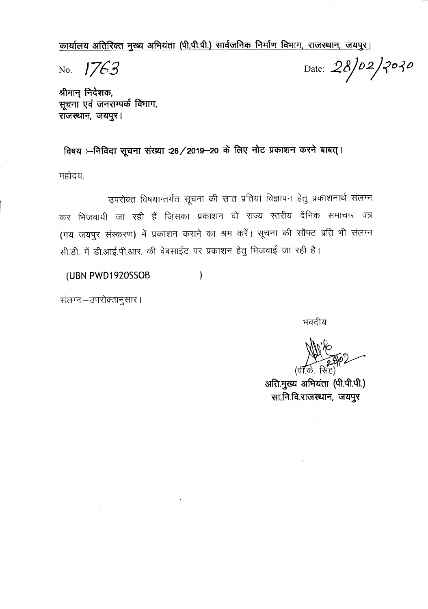कार्यालय अतिरिक्त मुख्य अभियंता (पी.पी.पी.) सार्वजनिक निर्माण विभाग, राजस्थान, जयपुर।

No. 1763

Date:  $28/02/2020$ 

श्रीमान् निदेशक, सूचना एवं जनसम्पर्क विभाग, राजस्थान, जयपुर।

विषय :--निविदा सूचना संख्या :26/2019-20 के लिए नोट प्रकाशन करने बाबत् ।

महोदय,

उपरोक्त विषयान्तर्गत सूचना की सात प्रतियां विज्ञापन हेतु प्रकाशनार्थ संलग्न कर भिजवायी जा रही हैं जिसका प्रकाशन दो राज्य स्तरीय दैनिक समाचार पत्र (मय जयपुर संस्करण) में प्रकाशन कराने का श्रम करें। सूचना की सॉफ्ट प्रति भी संलग्न सी.डी. में डी.आई.पी.आर. की वेबसाईट पर प्रकाशन हेतु भिजवाई जा रही है।

(UBN PWD1920SSOB  $\mathcal{E}$ 

संलग्नः-उपरोक्तानुसार।

भवदीय

अति.मुख्य अभियंता (पी.पी.पी.) सा.नि.वि.राजस्थान, जयपुर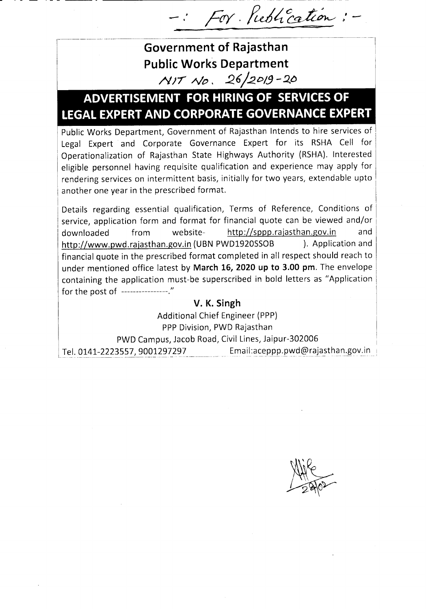- *Ferr. ful4~ /*

-------~----I

!

## **Government of Rajasthan Public Works Department** *»rrr No. 2.6/2.0/,9 -Q()*

I--~---·-------------

# **ADVERTISEMENT FOR HIRING OF SERVICESOF LEGAL EXPERTAND CORPORATE GOVERNANCE EXPERT**

Public Works Department, Government of Rajasthan Intends to hire services of Legal Expert and Corporate Governance Expert for its RSHA Cell for Operationalization of Rajasthan State Highways Authority (RSHA). Interested eligible personnel having requisite qualification and experience may apply for rendering services on intermittent basis, initially for two years, extendable upto another one year in the prescribed format.

Details regarding essential qualification, Terms of Reference, Conditions of service, application form and format for financial quote can be viewed and/or downloaded from website- http://sppp.rajasthan.gov.in and http://www.pwd.rajasthan.gov.in (UBN PWD1920SSOB ). Application and financial quote in the prescribed format completed in all respect should reach to under mentioned office latest by **March 16, 2020 up to 3.00 pm.** The envelope containing the application must-be superscribed in bold letters as "Application for the post of *----------------./1*

### **V. K. Singh**

Additional Chief Engineer (PPP) PPP Division, PWD Rajasthan PWD Campus, Jacob Road, Civil Lines, Jaipur-302006 Tel. 0141-2223557, 9001297297 Email:aceppp.pwd@rajasthan.gov.in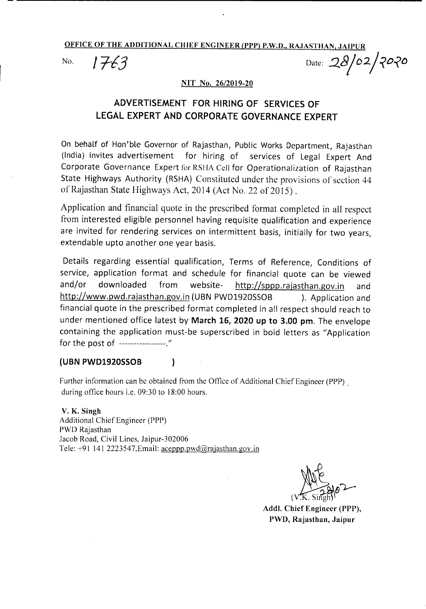OFFICE OF THE ADDITIONAL CHIEF ENGINEER (PPP) P.W.D., RAJASTHAN, JAIPUR

No. *1763* Date: 28/02/2020

#### NIT No. 26/2019-20

## ADVERTISEMENT FOR HIRING OF SERVICES OF LEGAL EXPERT AND CORPORATE GOVERNANCE EXPERT

On behalf of Hon'ble Governor of Rajasthan, Public Works Department, Rajasthan (India) invites advertisement for hiring of services of Legal Expert And Corporate Governance Expert for RSIIA Cell for Operationalization of Rajasthan State Highways Authority (RSHA) Constituted under the provisions of section 44 of Rajasthan State Highways Act, 2014 (Act No. 22 of 2015).

Application and financial quote in the prescribed format completed in all respect from interested eligible personnel having requisite qualification and experience are invited for rendering services on intermittent basis, initially for two years, extendable upto another one year basis.

Details regarding essential qualification, Terms of Reference, Conditions of service, application format and schedule for financial quote can be viewed and/or downloaded from website- http://sppp.rajasthan.gov.in and http://www.pwd.rajasthan.gov.in (UBN PWD1920SSOB ). Application and financial quote in the prescribed format completed in all respect should reach to under mentioned office latest by March 16, 2020 up to 3.00 pm. The envelope containing the application must-be superscribed in bold letters as "Application for the post of *---------------.*"

#### (UBN PWD1920SS0B

Further information can be obtained from the Office of Additional Chief Engineer (PPP) . during office hours i.e. 09:30 to 18:00 hours.

V. K. Singh Additional Chief Engineer (PPP) PWD Rajasthan Jacob Road, Civil Lines, Jaipur-302006 Tele:  $+91$  141 2223547, Email: aceppp.pwd $@$ rajasthan.gov.in

 $\mathbf{I}$ 

(س<del>با</del>س

Addl. Chief Engineer (PPP), PWD, Rajasthan, Jaipur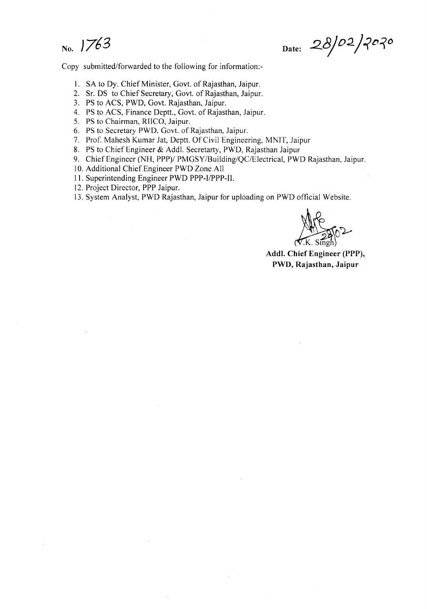No. *J763*

Date: 28/02/2020

Copy submitted/forwarded to the following for information:-

- 1. SA to Dy. Chief Minister, Govt. of Rajasthan, Jaipur.
- 2. Sr. OS to Chief Secretary, GOYt.of Rajasthan, Jaipur.
- 3. PS to ACS, PWD, Govt. Rajasthan, Jaipur.
- 4. PS to ACS, Finance Deptt., Govt. of Rajasthan, Jaipur.
- 5. PS to Chairman, RIICO, Jaipur.
- 6. PS to Secretary PWD, Govt. of Rajasthan, Jaipur.
- 7. Prof. Mahesh Kumar Jat, Deptt. Of Civil Engineering, MNIT, Jaipur
- 8. PS to Chief Engineer & Add!. Secretarty, PWD, Rajasthan Jaipur
- 9. Chief Engineer (NH, PPP)/ PMGSY /Building/QC/Electrical, PWD Rajasthan, Jaipur.
- 10. Additional Chief Engineer PWD Zone All
- 11. Superintending Engineer PWD PPP-I/PPP-II.
- 12. Project Director, PPP Jaipur.
- 13. System Analyst, PWD Rajasthan, Jaipur for uploading on PWD official Website.

**ALLES 502** 

Addl. Chief Engineer (PPP), PWD, Rajasthan, Jaipur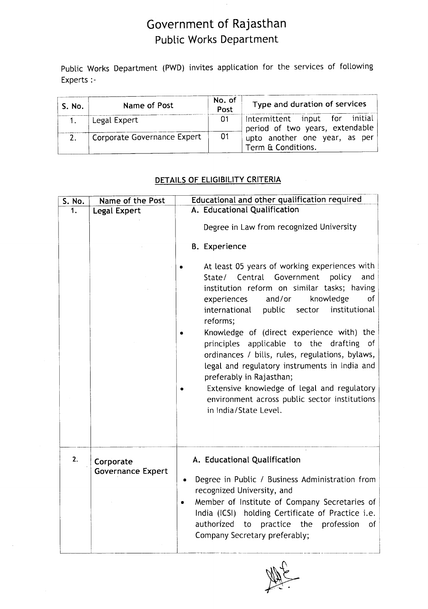## Government of Rajasthan Public Works Department

Public Works Department (PWD) invites application for the services of following Experts :-

| S. No. | Name of Post                | No. of<br>Post | Type and duration of services                                       |
|--------|-----------------------------|----------------|---------------------------------------------------------------------|
|        | Legal Expert                | 01             | Intermittent input for initial  <br>period of two years, extendable |
|        | Corporate Governance Expert | - 01           | upto another one year, as per<br>Term & Conditions.                 |

### DETAILS OF ELIGIBILITY CRITERIA

| S. No. | Name of the Post                      | Educational and other qualification required                                                                                                                                                                                                                                                                                                                                                                                                                                                                                                                                                                                                                                                                              |  |  |
|--------|---------------------------------------|---------------------------------------------------------------------------------------------------------------------------------------------------------------------------------------------------------------------------------------------------------------------------------------------------------------------------------------------------------------------------------------------------------------------------------------------------------------------------------------------------------------------------------------------------------------------------------------------------------------------------------------------------------------------------------------------------------------------------|--|--|
| 1.     | Legal Expert                          | A. Educational Qualification<br>Degree in Law from recognized University<br><b>B.</b> Experience<br>At least 05 years of working experiences with<br>State/ Central<br>Government<br>policy<br>and<br>institution reform on similar tasks; having<br>of<br>and/or<br>knowledge<br>experiences<br>public<br>institutional<br>international<br>sector<br>reforms;<br>Knowledge of (direct experience with) the<br>applicable to the drafting<br>principles<br>of .<br>ordinances / bills, rules, regulations, bylaws,<br>legal and regulatory instruments in India and<br>preferably in Rajasthan;<br>Extensive knowledge of legal and regulatory<br>environment across public sector institutions<br>in India/State Level. |  |  |
| 2.     | Corporate<br><b>Governance Expert</b> | A. Educational Qualification<br>Degree in Public / Business Administration from<br>٠<br>recognized University, and<br>Member of Institute of Company Secretaries of<br>$\bullet$<br>India (ICSI) holding Certificate of Practice i.e.<br>authorized<br>practice the<br>profession<br>to<br>of<br>Company Secretary preferably;                                                                                                                                                                                                                                                                                                                                                                                            |  |  |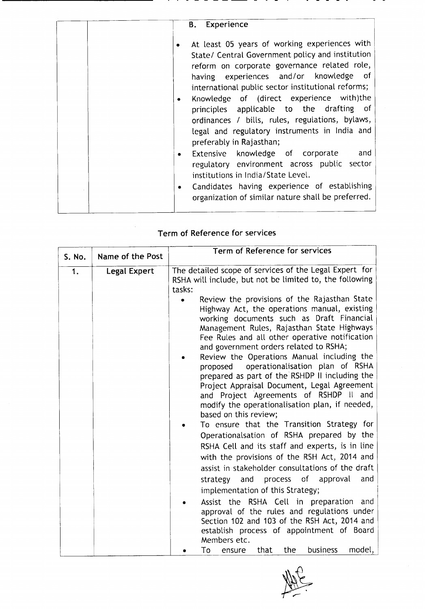| Experience<br><b>B.</b>                                                                                                                                                                                                                                                                                                                                                                                                                                                                                                                                                                                                                                                                                                                             |
|-----------------------------------------------------------------------------------------------------------------------------------------------------------------------------------------------------------------------------------------------------------------------------------------------------------------------------------------------------------------------------------------------------------------------------------------------------------------------------------------------------------------------------------------------------------------------------------------------------------------------------------------------------------------------------------------------------------------------------------------------------|
| At least 05 years of working experiences with<br>State/ Central Government policy and institution<br>reform on corporate governance related role,<br>having experiences and/or knowledge of<br>international public sector institutional reforms;<br>Knowledge of (direct experience with)the<br>$\bullet$<br>principles applicable to the drafting of<br>ordinances / bills, rules, regulations, bylaws,<br>legal and regulatory instruments in India and<br>preferably in Rajasthan;<br>Extensive knowledge of corporate and<br>$\bullet$<br>regulatory environment across public sector<br>institutions in India/State Level.<br>Candidates having experience of establishing<br>$\bullet$<br>organization of similar nature shall be preferred. |
|                                                                                                                                                                                                                                                                                                                                                                                                                                                                                                                                                                                                                                                                                                                                                     |

## Term of Reference for services

| S. No. | Name of the Post | Term of Reference for services                                                                                                                                                                                                                                                                                                                                                                                                                                                                                                                                                                                                                                                                                                                                                                                                                                                                                                                                                                                                                                                                                                                                                                                                                                                                                                                  |
|--------|------------------|-------------------------------------------------------------------------------------------------------------------------------------------------------------------------------------------------------------------------------------------------------------------------------------------------------------------------------------------------------------------------------------------------------------------------------------------------------------------------------------------------------------------------------------------------------------------------------------------------------------------------------------------------------------------------------------------------------------------------------------------------------------------------------------------------------------------------------------------------------------------------------------------------------------------------------------------------------------------------------------------------------------------------------------------------------------------------------------------------------------------------------------------------------------------------------------------------------------------------------------------------------------------------------------------------------------------------------------------------|
| 1.     | Legal Expert     | The detailed scope of services of the Legal Expert for<br>RSHA will include, but not be limited to, the following<br>tasks:<br>Review the provisions of the Rajasthan State<br>Highway Act, the operations manual, existing<br>working documents such as Draft Financial<br>Management Rules, Rajasthan State Highways<br>Fee Rules and all other operative notification<br>and government orders related to RSHA;<br>Review the Operations Manual including the<br>operationalisation plan of RSHA<br>proposed<br>prepared as part of the RSHDP II including the<br>Project Appraisal Document, Legal Agreement<br>and Project Agreements of RSHDP II and<br>modify the operationalisation plan, if needed,<br>based on this review;<br>To ensure that the Transition Strategy for<br>Operationalsation of RSHA prepared by the<br>RSHA Cell and its staff and experts, is in line<br>with the provisions of the RSH Act, 2014 and<br>assist in stakeholder consultations of the draft<br>process of approval<br>and<br>strategy<br>and<br>implementation of this Strategy;<br>Assist the RSHA Cell in preparation and<br>approval of the rules and regulations under<br>Section 102 and 103 of the RSH Act, 2014 and<br>establish process of appointment of Board<br>Members etc.<br>model,<br>To<br>that<br>the<br><b>business</b><br>ensure |

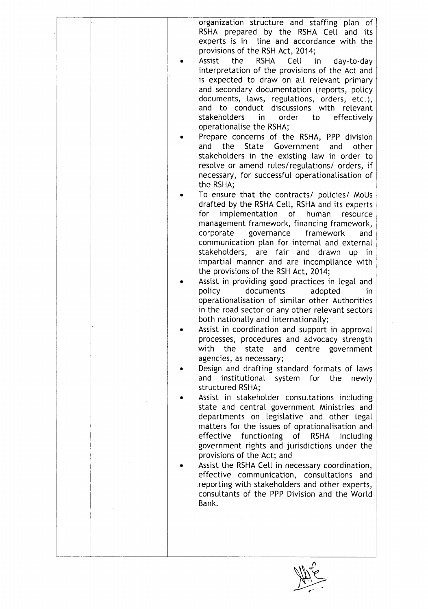| organization structure and staffing plan of<br>RSHA prepared by the RSHA Cell and its<br>experts is in line and accordance with the |
|-------------------------------------------------------------------------------------------------------------------------------------|
| provisions of the RSH Act, 2014;                                                                                                    |
| Assist<br><b>RSHA</b><br>Cell<br>the<br>in<br>day-to-day                                                                            |
| interpretation of the provisions of the Act and                                                                                     |
| is expected to draw on all relevant primary                                                                                         |
| and secondary documentation (reports, policy<br>documents, laws, regulations, orders, etc.),                                        |
| and to conduct discussions with relevant                                                                                            |
| stakeholders<br>order<br>effectively<br>in<br>to                                                                                    |
| operationalise the RSHA;                                                                                                            |
| Prepare concerns of the RSHA, PPP division                                                                                          |
| and the State Government<br>and<br>other                                                                                            |
| stakeholders in the existing law in order to                                                                                        |
| resolve or amend rules/regulations/ orders, if<br>necessary, for successful operationalisation of                                   |
| the RSHA;                                                                                                                           |
| To ensure that the contracts/ policies/ MoUs<br>drafted by the RSHA Cell, RSHA and its experts                                      |
| implementation<br>for<br>of<br>human<br>resource                                                                                    |
| management framework, financing framework,                                                                                          |
| corporate<br>governance framework<br>and                                                                                            |
| communication plan for internal and external                                                                                        |
| stakeholders, are fair and drawn up in                                                                                              |
| impartial manner and are incompliance with<br>the provisions of the RSH Act, 2014;                                                  |
| Assist in providing good practices in legal and                                                                                     |
| policy<br>documents<br>adopted<br>in.                                                                                               |
| operationalisation of similar other Authorities                                                                                     |
| in the road sector or any other relevant sectors                                                                                    |
| both nationally and internationally;                                                                                                |
| Assist in coordination and support in approval<br>processes, procedures and advocacy strength                                       |
| with the<br>state<br>centre<br>government<br>and                                                                                    |
| agencies, as necessary;                                                                                                             |
| Design and drafting standard formats of laws                                                                                        |
| and institutional system for the<br>newly                                                                                           |
| structured RSHA;                                                                                                                    |
| Assist in stakeholder consultations including<br>state and central government Ministries and                                        |
| departments on legislative and other legal                                                                                          |
| matters for the issues of oprationalisation and                                                                                     |
| effective<br>functioning<br>of RSHA<br><i>including</i>                                                                             |
| government rights and jurisdictions under the                                                                                       |
| provisions of the Act; and                                                                                                          |
| Assist the RSHA Cell in necessary coordination,<br>effective communication, consultations and                                       |
| reporting with stakeholders and other experts,                                                                                      |
| consultants of the PPP Division and the World                                                                                       |
| Bank.                                                                                                                               |
|                                                                                                                                     |
|                                                                                                                                     |
|                                                                                                                                     |
|                                                                                                                                     |

Note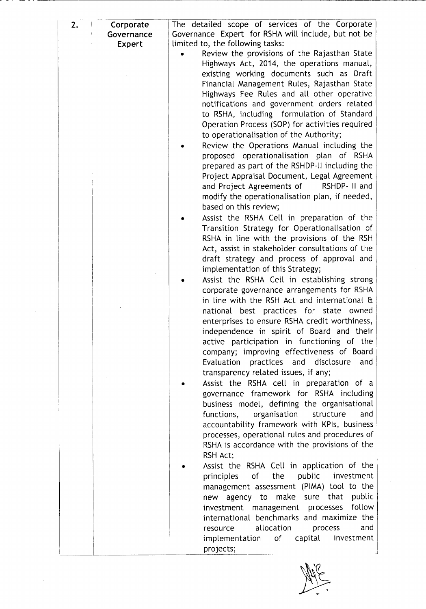| 2. | Corporate  | The detailed scope of services of the Corporate     |
|----|------------|-----------------------------------------------------|
|    | Governance | Governance Expert for RSHA will include, but not be |
|    | Expert     | limited to, the following tasks:                    |
|    |            | Review the provisions of the Rajasthan State        |
|    |            | Highways Act, 2014, the operations manual,          |
|    |            | existing working documents such as Draft            |
|    |            | Financial Management Rules, Rajasthan State         |
|    |            | Highways Fee Rules and all other operative          |
|    |            | notifications and government orders related         |
|    |            | to RSHA, including formulation of Standard          |
|    |            | Operation Process (SOP) for activities required     |
|    |            | to operationalisation of the Authority;             |
|    |            | Review the Operations Manual including the          |
|    |            | proposed operationalisation plan of RSHA            |
|    |            | prepared as part of the RSHDP-II including the      |
|    |            | Project Appraisal Document, Legal Agreement         |
|    |            | and Project Agreements of<br>RSHDP- II and          |
|    |            | modify the operationalisation plan, if needed,      |
|    |            | based on this review;                               |
|    |            | Assist the RSHA Cell in preparation of the          |
|    |            | Transition Strategy for Operationalisation of       |
|    |            | RSHA in line with the provisions of the RSH         |
|    |            | Act, assist in stakeholder consultations of the     |
|    |            | draft strategy and process of approval and          |
|    |            | implementation of this Strategy;                    |
|    |            | Assist the RSHA Cell in establishing strong         |
|    |            | corporate governance arrangements for RSHA          |
|    |            | in line with the RSH Act and international &        |
|    |            | national best practices for state owned             |
|    |            | enterprises to ensure RSHA credit worthiness,       |
|    |            | independence in spirit of Board and their           |
|    |            | active participation in functioning of the          |
|    |            | company; improving effectiveness of Board           |
|    |            | Evaluation practices and disclosure<br>and          |
|    |            | transparency related issues, if any;                |
|    |            | Assist the RSHA cell in preparation of a            |
|    |            | governance framework for RSHA including             |
|    |            | business model, defining the organisational         |
|    |            | functions, organisation<br>structure<br>and         |
|    |            | accountability framework with KPIs, business        |
|    |            | processes, operational rules and procedures of      |
|    |            | RSHA is accordance with the provisions of the       |
|    |            | RSH Act;                                            |
|    |            | Assist the RSHA Cell in application of the          |
|    |            | public<br>investment<br>of<br>the<br>principles     |
|    |            | management assessment (PIMA) tool to the            |
|    |            | new agency to make sure that public                 |
|    |            | follow<br>investment management processes           |
|    |            | international benchmarks and maximize the           |
|    |            | allocation<br>and<br>process<br>resource            |
|    |            | capital<br>implementation<br>of<br>investment       |
|    |            | projects;                                           |

NAVE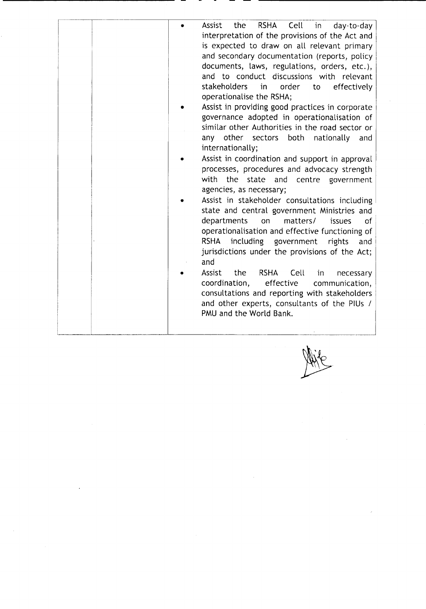Mile

 $\mathcal{A}^{\mathcal{A}}$ 

 $\hat{\mathcal{A}}$ 

 $\frac{1}{\sqrt{2}}$ 

 $\boldsymbol{\epsilon}$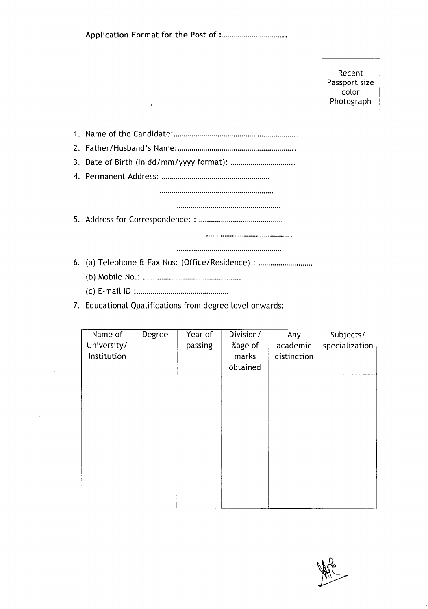|--|--|--|--|

**Recent**<br>
Recent<br>
Passport size color Photograph

1. Name of the Candidate: .

2. Father/Husband's Name: .

3. Date of Birth (In dd/mm/yyyy format): .

4. Permanent Address: .

5. Address for Correspondence: : .

6. (a) Telephone & Fax Nos: (Office/Residence) : .

- (b) MobHe No.: .
- (c) E-maillD : .
- 7. Educational Qualifications from degree level onwards:

| Name of<br>University/<br>Institution | Degree | Year of<br>passing | Division/<br>%age of<br>marks<br>obtained | Any<br>academic<br>distinction | Subjects/<br>specialization |
|---------------------------------------|--------|--------------------|-------------------------------------------|--------------------------------|-----------------------------|
|                                       |        |                    |                                           |                                |                             |
|                                       |        |                    |                                           |                                |                             |
|                                       |        |                    |                                           |                                |                             |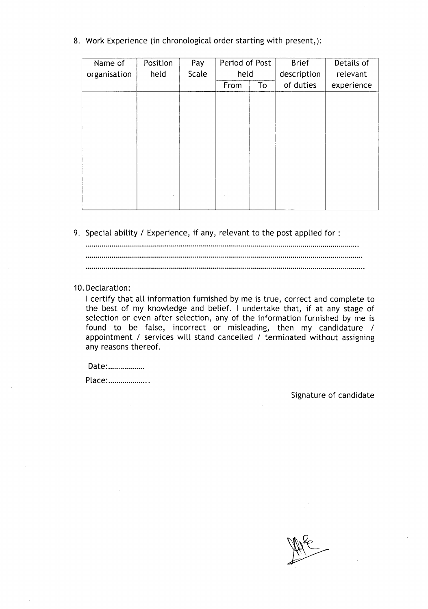8. Work Experience (in chronological order starting with present,):

| Name of      | Position | Pay   | Period of Post |    | <b>Brief</b> | Details of |
|--------------|----------|-------|----------------|----|--------------|------------|
| organisation | held     | Scale | held           |    | description  | relevant   |
|              |          |       | From           | To | of duties    | experience |
|              |          |       |                |    |              |            |
|              |          |       |                |    |              |            |
|              |          |       |                |    |              |            |
|              |          |       |                |    |              |            |
|              |          |       |                |    |              |            |
|              |          |       |                |    |              |            |
|              |          |       |                |    |              |            |
|              |          |       |                |    |              |            |
|              |          |       |                |    |              |            |
|              |          |       |                |    |              |            |

9. Special ability / Experience, if any, relevant to the post applied for:

10. Declaration:

I certify that all information furnished by me is true, correct and complete to the best of my knowledge and belief. I undertake that, if at any stage of selection or even after selection, any of the information furnished by me is found to be false, incorrect or misleading, then my candidature / appointment / services will stand cancelled / terminated without assigning any reasons thereof.

Date:...................

Place:....................

Signature of candidate